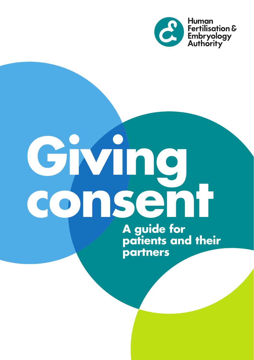

# **Giving consent**

**A guide for patients and their partners**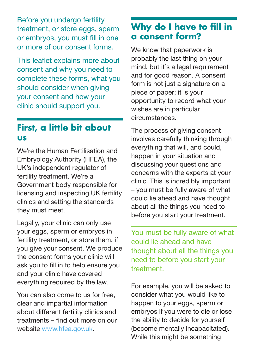Before you undergo fertility treatment, or store eggs, sperm or embryos, you must fill in one or more of our consent forms.

This leaflet explains more about consent and why you need to complete these forms, what you should consider when giving your consent and how your clinic should support you.

#### **First, a little bit about us**

We're the Human Fertilisation and Embryology Authority (HFEA), the UK's independent regulator of fertility treatment. We're a Government body responsible for licensing and inspecting UK fertility clinics and setting the standards they must meet.

Legally, your clinic can only use your eggs, sperm or embryos in fertility treatment, or store them, if you give your consent. We produce the consent forms your clinic will ask you to fill in to help ensure you and your clinic have covered everything required by the law.

You can also come to us for free, clear and impartial information about different fertility clinics and treatments – find out more on our website [www.hfea.gov.uk](http://www.hfea.gov.uk).

# **Why do I have to fill in a consent form?**

We know that paperwork is probably the last thing on your mind, but it's a legal requirement and for good reason. A consent form is not just a signature on a piece of paper; it is your opportunity to record what your wishes are in particular circumstances.

The process of giving consent involves carefully thinking through everything that will, and could, happen in your situation and discussing your questions and concerns with the experts at your clinic. This is incredibly important – you must be fully aware of what could lie ahead and have thought about all the things you need to before you start your treatment.

You must be fully aware of what could lie ahead and have thought about all the things you need to before you start your treatment.

For example, you will be asked to consider what you would like to happen to your eggs, sperm or embryos if you were to die or lose the ability to decide for yourself (become mentally incapacitated). While this might be something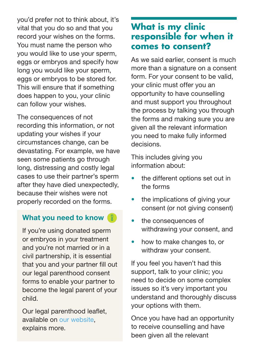you'd prefer not to think about, it's vital that you do so and that you record your wishes on the forms. You must name the person who you would like to use your sperm, eggs or embryos and specify how long you would like your sperm, eggs or embryos to be stored for. This will ensure that if something does happen to you, your clinic can follow your wishes.

The consequences of not recording this information, or not updating your wishes if your circumstances change, can be devastating. For example, we have seen some patients go through long, distressing and costly legal cases to use their partner's sperm after they have died unexpectedly, because their wishes were not properly recorded on the forms.

#### What you need to know  $\sqrt{g}$

If you're using donated sperm or embryos in your treatment and you're not married or in a civil partnership, it is essential that you and your partner fill out our legal parenthood consent forms to enable your partner to become the legal parent of your child.

Our legal parenthood leaflet, available on [our website,](http://www.hfea.gov.uk/docs/HFEA_Legal_parenthood_leaflet_AW(2).pdf) explains more.

# **What is my clinic responsible for when it comes to consent?**

As we said earlier, consent is much more than a signature on a consent form. For your consent to be valid, your clinic must offer you an opportunity to have counselling and must support you throughout the process by talking you through the forms and making sure you are given all the relevant information you need to make fully informed decisions.

This includes giving you information about:

- the different options set out in the forms
- the implications of giving your consent (or not giving consent)
- the consequences of withdrawing your consent, and
- how to make changes to, or withdraw your consent.

If you feel you haven't had this support, talk to your clinic; you need to decide on some complex issues so it's very important you understand and thoroughly discuss your options with them.

Once you have had an opportunity to receive counselling and have been given all the relevant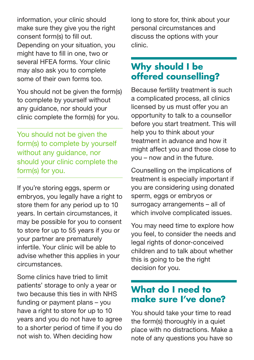information, your clinic should make sure they give you the right consent form(s) to fill out. Depending on your situation, you might have to fill in one, two or several HFEA forms. Your clinic may also ask you to complete some of their own forms too.

You should not be given the form(s) to complete by yourself without any guidance, nor should your clinic complete the form(s) for you.

You should not be given the form(s) to complete by yourself without any guidance, nor should your clinic complete the form(s) for you.

If you're storing eggs, sperm or embryos, you legally have a right to store them for any period up to 10 years. In certain circumstances, it may be possible for you to consent to store for up to 55 years if you or your partner are prematurely infertile. Your clinic will be able to advise whether this applies in your circumstances.

Some clinics have tried to limit patients' storage to only a year or two because this ties in with NHS funding or payment plans – you have a right to store for up to 10 years and you do not have to agree to a shorter period of time if you do not wish to. When deciding how

long to store for, think about your personal circumstances and discuss the options with your clinic.

# **Why should I be offered counselling?**

Because fertility treatment is such a complicated process, all clinics licensed by us must offer you an opportunity to talk to a counsellor before you start treatment. This will help you to think about your treatment in advance and how it might affect you and those close to you – now and in the future.

Counselling on the implications of treatment is especially important if you are considering using donated sperm, eggs or embryos or surrogacy arrangements – all of which involve complicated issues.

You may need time to explore how you feel, to consider the needs and legal rights of donor-conceived children and to talk about whether this is going to be the right decision for you.

#### **What do I need to make sure I've done?**

You should take your time to read the form(s) thoroughly in a quiet place with no distractions. Make a note of any questions you have so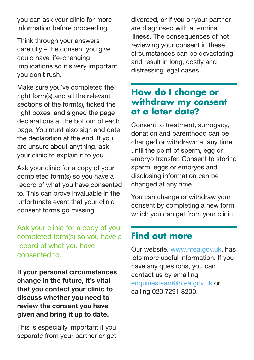you can ask your clinic for more information before proceeding.

Think through your answers carefully – the consent you give could have life-changing implications so it's very important you don't rush.

Make sure you've completed the right form(s) and all the relevant sections of the form(s), ticked the right boxes, and signed the page declarations at the bottom of each page. You must also sign and date the declaration at the end. If you are unsure about anything, ask your clinic to explain it to you.

Ask your clinic for a copy of your completed form(s) so you have a record of what you have consented to. This can prove invaluable in the unfortunate event that your clinic consent forms go missing.

Ask your clinic for a copy of your completed form(s) so you have a record of what you have consented to.

If your personal circumstances change in the future, it's vital that you contact your clinic to discuss whether you need to review the consent you have given and bring it up to date.

This is especially important if you separate from your partner or get divorced, or if you or your partner are diagnosed with a terminal illness. The consequences of not reviewing your consent in these circumstances can be devastating and result in long, costly and distressing legal cases.

### **How do I change or withdraw my consent at a later date?**

Consent to treatment, surrogacy, donation and parenthood can be changed or withdrawn at any time until the point of sperm, egg or embryo transfer. Consent to storing sperm, eggs or embryos and disclosing information can be changed at any time.

You can change or withdraw your consent by completing a new form which you can get from your clinic.

## **Find out more**

Our website, [www.hfea.gov.uk,](http://www.hfea.gov.uk) has lots more useful information. If you have any questions, you can contact us by emailing [enquiriesteam@hfea.gov.uk](mailto:enquiriesteam%40hfea.gov.uk?subject=) or calling 020 7291 8200.